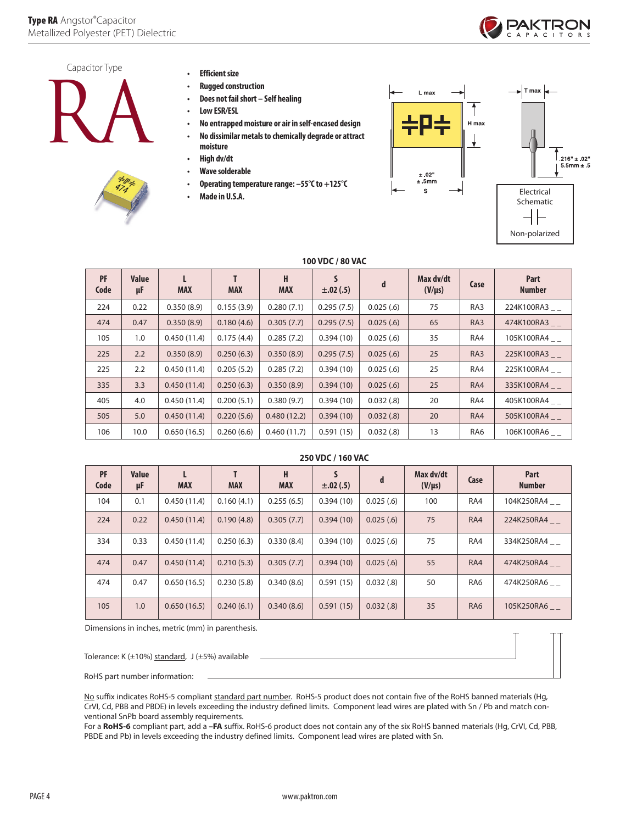



- **Efficient size**
- **Rugged construction**
- **Does not fail short Self healing**
- **Low ESR/ESL**
- **No entrapped moisture or air in self-encased design**
- **• No dissimilar metals to chemically degrade or attract moisture**
- **High dv/dt**
- 
- **Wave solderable**
- **Operating temperature range: –55°C to +125°C**
- **Made in U.S.A.**



|            | 100 VDC / 80 VAC   |             |            |                 |                    |           |                          |      |                       |  |
|------------|--------------------|-------------|------------|-----------------|--------------------|-----------|--------------------------|------|-----------------------|--|
| PF<br>Code | <b>Value</b><br>μF | <b>MAX</b>  | <b>MAX</b> | H<br><b>MAX</b> | S<br>$\pm .02(.5)$ | d         | Max dv/dt<br>$(V/\mu s)$ | Case | Part<br><b>Number</b> |  |
| 224        | 0.22               | 0.350(8.9)  | 0.155(3.9) | 0.280(7.1)      | 0.295(7.5)         | 0.025(.6) | 75                       | RA3  | 224K100RA3__          |  |
| 474        | 0.47               | 0.350(8.9)  | 0.180(4.6) | 0.305(7.7)      | 0.295(7.5)         | 0.025(.6) | 65                       | RA3  | 474K100RA3__          |  |
| 105        | 1.0                | 0.450(11.4) | 0.175(4.4) | 0.285(7.2)      | 0.394(10)          | 0.025(.6) | 35                       | RA4  | 105K100RA4__          |  |
| 225        | 2.2                | 0.350(8.9)  | 0.250(6.3) | 0.350(8.9)      | 0.295(7.5)         | 0.025(.6) | 25                       | RA3  | 225K100RA3__          |  |
| 225        | 2.2                | 0.450(11.4) | 0.205(5.2) | 0.285(7.2)      | 0.394(10)          | 0.025(.6) | 25                       | RA4  | 225K100RA4__          |  |
| 335        | 3.3                | 0.450(11.4) | 0.250(6.3) | 0.350(8.9)      | 0.394(10)          | 0.025(.6) | 25                       | RA4  | 335K100RA4__          |  |
| 405        | 4.0                | 0.450(11.4) | 0.200(5.1) | 0.380(9.7)      | 0.394(10)          | 0.032(.8) | 20                       | RA4  | 405K100RA4__          |  |
| 505        | 5.0                | 0.450(11.4) | 0.220(5.6) | 0.480(12.2)     | 0.394(10)          | 0.032(.8) | 20                       | RA4  | 505K100RA4__          |  |
| 106        | 10.0               | 0.650(16.5) | 0.260(6.6) | 0.460(11.7)     | 0.591(15)          | 0.032(.8) | 13                       | RA6  | 106K100RA6            |  |

# **250 VDC / 160 VAC**

| PF<br>Code | <b>Value</b><br>μF | <b>MAX</b>  | <b>MAX</b> | н<br><b>MAX</b> | S<br>$\pm .02(.5)$ | d         | Max dv/dt<br>$(V/\mu s)$ | Case            | Part<br><b>Number</b> |
|------------|--------------------|-------------|------------|-----------------|--------------------|-----------|--------------------------|-----------------|-----------------------|
| 104        | 0.1                | 0.450(11.4) | 0.160(4.1) | 0.255(6.5)      | 0.394(10)          | 0.025(.6) | 100                      | RA4             | 104K250RA4__          |
| 224        | 0.22               | 0.450(11.4) | 0.190(4.8) | 0.305(7.7)      | 0.394(10)          | 0.025(.6) | 75                       | RA4             | 224K250RA4            |
| 334        | 0.33               | 0.450(11.4) | 0.250(6.3) | 0.330(8.4)      | 0.394(10)          | 0.025(.6) | 75                       | RA4             | 334K250RA4            |
| 474        | 0.47               | 0.450(11.4) | 0.210(5.3) | 0.305(7.7)      | 0.394(10)          | 0.025(.6) | 55                       | RA4             | 474K250RA4            |
| 474        | 0.47               | 0.650(16.5) | 0.230(5.8) | 0.340(8.6)      | 0.591(15)          | 0.032(.8) | 50                       | RA <sub>6</sub> | 474K250RA6            |
| 105        | 1.0                | 0.650(16.5) | 0.240(6.1) | 0.340(8.6)      | 0.591(15)          | 0.032(.8) | 35                       | RA <sub>6</sub> | 105K250RA6            |

Dimensions in inches, metric (mm) in parenthesis.

Tolerance: K (±10%) standard, J (±5%) available

RoHS part number information:

No suffix indicates RoHS-5 compliant standard part number. RoHS-5 product does not contain five of the RoHS banned materials (Hg, CrVI, Cd, PBB and PBDE) in levels exceeding the industry defined limits. Component lead wires are plated with Sn / Pb and match conventional SnPb board assembly requirements.

For a **RoHS-6** compliant part, add a **–FA** suffix. RoHS-6 product does not contain any of the six RoHS banned materials (Hg, CrVI, Cd, PBB, PBDE and Pb) in levels exceeding the industry defined limits. Component lead wires are plated with Sn.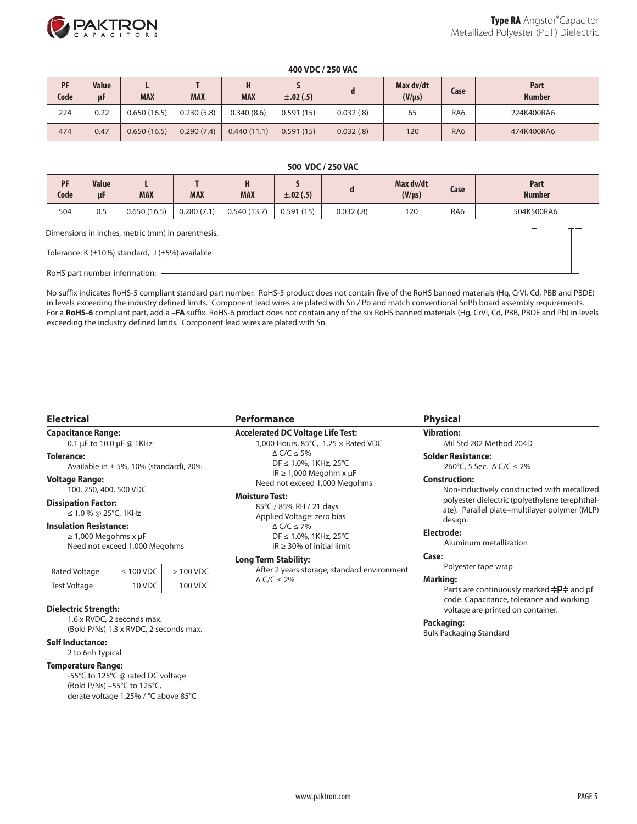

#### **400 VDC / 250 VAC**

| PF<br>Code | <b>Value</b><br>μF | <b>MAX</b>  | <b>MAX</b> | п<br><b>MAX</b> | $\pm .02(.5)$ |           | Max dv/dt<br>$(V/\mu s)$ | Case            | Part<br><b>Number</b> |
|------------|--------------------|-------------|------------|-----------------|---------------|-----------|--------------------------|-----------------|-----------------------|
| 224        | 0.22               | 0.650(16.5) | 0.230(5.8) | 0.340(8.6)      | 0.591(15)     | 0.032(.8) | 65                       | RA6             | 224K400RA6__          |
| 474        | 0.47               | 0.650(16.5) | 0.290(7.4) | 0.440(11.1)     | 0.591(15)     | 0.032(.8) | 120                      | RA <sub>6</sub> | 474K400RA6__          |

#### **500 VDC / 250 VAC**

| PF<br>Code                                                  | Value<br>μF | <b>MAX</b>  | <b>MAX</b> | H<br><b>MAX</b> | $\pm .02(.5)$ | a         | Max dv/dt<br>$(V/\mu s)$ | Case            | Part<br><b>Number</b> |
|-------------------------------------------------------------|-------------|-------------|------------|-----------------|---------------|-----------|--------------------------|-----------------|-----------------------|
| 504                                                         | 0.5         | 0.650(16.5) | 0.280(7.1) | 0.540(13.7)     | 0.591(15)     | 0.032(.8) | 120                      | RA <sub>6</sub> | 504K500RA6 _ _        |
| Dimensions in inches, metric (mm) in parenthesis.           |             |             |            |                 |               |           |                          |                 |                       |
| Tolerance: K $(\pm 10\%)$ standard, J $(\pm 5\%)$ available |             |             |            |                 |               |           |                          |                 |                       |

RoHS part number information:

No suffix indicates RoHS-5 compliant standard part number. RoHS-5 product does not contain five of the RoHS banned materials (Hg, CrVI, Cd, PBB and PBDE) in levels exceeding the industry defined limits. Component lead wires are plated with Sn / Pb and match conventional SnPb board assembly requirements. For a **RoHS-6** compliant part, add a **–FA** suffix. RoHS-6 product does not contain any of the six RoHS banned materials (Hg, CrVI, Cd, PBB, PBDE and Pb) in levels exceeding the industry defined limits. Component lead wires are plated with Sn.

#### **Electrical**

**Capacitance Range:** 0.1 µF to 10.0 µF @ 1KHz

**Tolerance:** Available in  $\pm$  5%, 10% (standard), 20%

**Voltage Range:**

100, 250, 400, 500 VDC

**Dissipation Factor:**

≤ 1.0 % @ 25°C, 1KHz

#### **Insulation Resistance:**

≥ 1,000 Megohms x µF Need not exceed 1,000 Megohms

| Rated Voltage       | $\leq 100$ VDC | $>100$ VDC |  |
|---------------------|----------------|------------|--|
| <b>Test Voltage</b> | 10 VDC         | 100 VDC    |  |
|                     |                |            |  |

#### **Dielectric Strength:**

1.6 x RVDC, 2 seconds max. (Bold P/Ns) 1.3 x RVDC, 2 seconds max.

#### **Self Inductance:**

2 to 6nh typical

#### **Temperature Range:**

-55°C to 125°C @ rated DC voltage (Bold P/Ns) –55°C to 125°C, derate voltage 1.25% / °C above 85°C

#### **Performance**

### **Accelerated DC Voltage Life Test:**

1,000 Hours, 85°C, 1.25 × Rated VDC ∆ C/C ≤ 5% DF ≤ 1.0%, 1KHz, 25°C IR  $\geq 1,000$  Megohm x µF Need not exceed 1,000 Megohms

#### **Moisture Test:**

85°C / 85% RH / 21 days Applied Voltage: zero bias ∆ C/C ≤ 7% DF ≤ 1.0%, 1KHz, 25°C

IR ≥ 30% of initial limit

#### **Long Term Stability:**

After 2 years storage, standard environment ∆ C/C ≤ 2%

#### **Physical**

**Vibration:** Mil Std 202 Method 204D

# **Solder Resistance:**

260°C, 5 Sec. ∆ C/C ≤ 2%

#### **Construction:**

Non-inductively constructed with metallized polyester dielectric (polyethylene terephthalate). Parallel plate–multilayer polymer (MLP) design.

#### **Electrode:**

Aluminum metallization

#### **Case:**

Polyester tape wrap

#### **Marking:**

Parts are continuously marked **누P** and pf code. Capacitance, tolerance and working voltage are printed on container.

#### **Packaging:**

Bulk Packaging Standard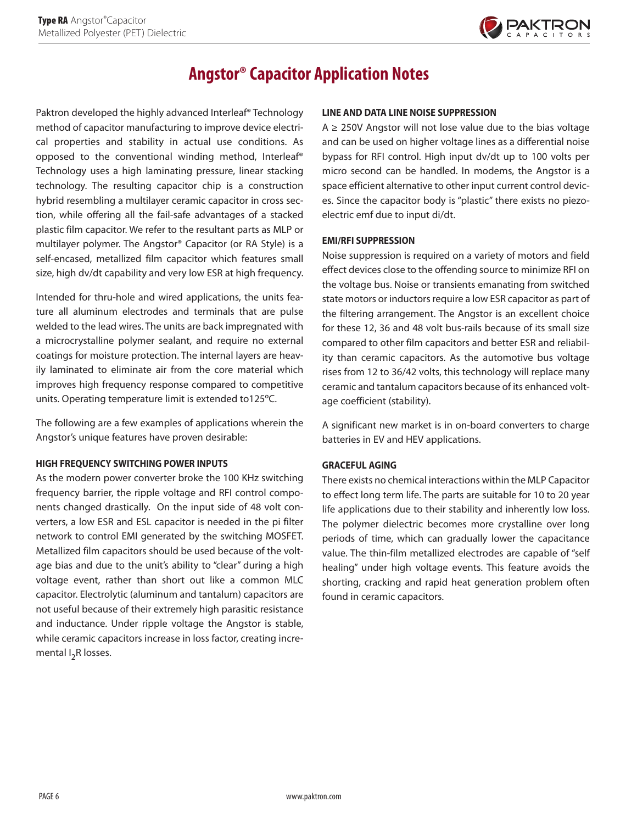

# **Angstor® Capacitor Application Notes**

Paktron developed the highly advanced Interleaf® Technology method of capacitor manufacturing to improve device electrical properties and stability in actual use conditions. As opposed to the conventional winding method, Interleaf® Technology uses a high laminating pressure, linear stacking technology. The resulting capacitor chip is a construction hybrid resembling a multilayer ceramic capacitor in cross section, while offering all the fail-safe advantages of a stacked plastic film capacitor. We refer to the resultant parts as MLP or multilayer polymer. The Angstor® Capacitor (or RA Style) is a self-encased, metallized film capacitor which features small size, high dv/dt capability and very low ESR at high frequency.

Intended for thru-hole and wired applications, the units feature all aluminum electrodes and terminals that are pulse welded to the lead wires. The units are back impregnated with a microcrystalline polymer sealant, and require no external coatings for moisture protection. The internal layers are heavily laminated to eliminate air from the core material which improves high frequency response compared to competitive units. Operating temperature limit is extended to125ºC.

The following are a few examples of applications wherein the Angstor's unique features have proven desirable:

## **HIGH FREQUENCY SWITCHING POWER INPUTS**

As the modern power converter broke the 100 KHz switching frequency barrier, the ripple voltage and RFI control components changed drastically. On the input side of 48 volt converters, a low ESR and ESL capacitor is needed in the pi filter network to control EMI generated by the switching MOSFET. Metallized film capacitors should be used because of the voltage bias and due to the unit's ability to "clear" during a high voltage event, rather than short out like a common MLC capacitor. Electrolytic (aluminum and tantalum) capacitors are not useful because of their extremely high parasitic resistance and inductance. Under ripple voltage the Angstor is stable, while ceramic capacitors increase in loss factor, creating incremental  $I_2R$  losses.

### **LINE AND DATA LINE NOISE SUPPRESSION**

 $A \geq 250V$  Angstor will not lose value due to the bias voltage and can be used on higher voltage lines as a differential noise bypass for RFI control. High input dv/dt up to 100 volts per micro second can be handled. In modems, the Angstor is a space efficient alternative to other input current control devices. Since the capacitor body is "plastic" there exists no piezoelectric emf due to input di/dt.

### **EMI/RFI SUPPRESSION**

Noise suppression is required on a variety of motors and field effect devices close to the offending source to minimize RFI on the voltage bus. Noise or transients emanating from switched state motors or inductors require a low ESR capacitor as part of the filtering arrangement. The Angstor is an excellent choice for these 12, 36 and 48 volt bus-rails because of its small size compared to other film capacitors and better ESR and reliability than ceramic capacitors. As the automotive bus voltage rises from 12 to 36/42 volts, this technology will replace many ceramic and tantalum capacitors because of its enhanced voltage coefficient (stability).

A significant new market is in on-board converters to charge batteries in EV and HEV applications.

### **GRACEFUL AGING**

There exists no chemical interactions within the MLP Capacitor to effect long term life. The parts are suitable for 10 to 20 year life applications due to their stability and inherently low loss. The polymer dielectric becomes more crystalline over long periods of time, which can gradually lower the capacitance value. The thin-film metallized electrodes are capable of "self healing" under high voltage events. This feature avoids the shorting, cracking and rapid heat generation problem often found in ceramic capacitors.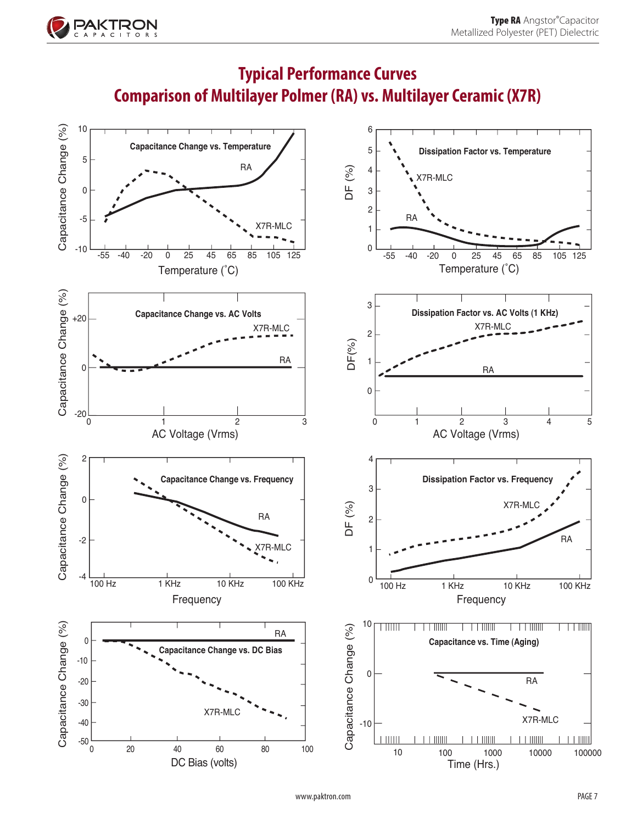

# **Typical Performance Curves Comparison of Multilayer Polmer (RA) vs. Multilayer Ceramic (X7R)**

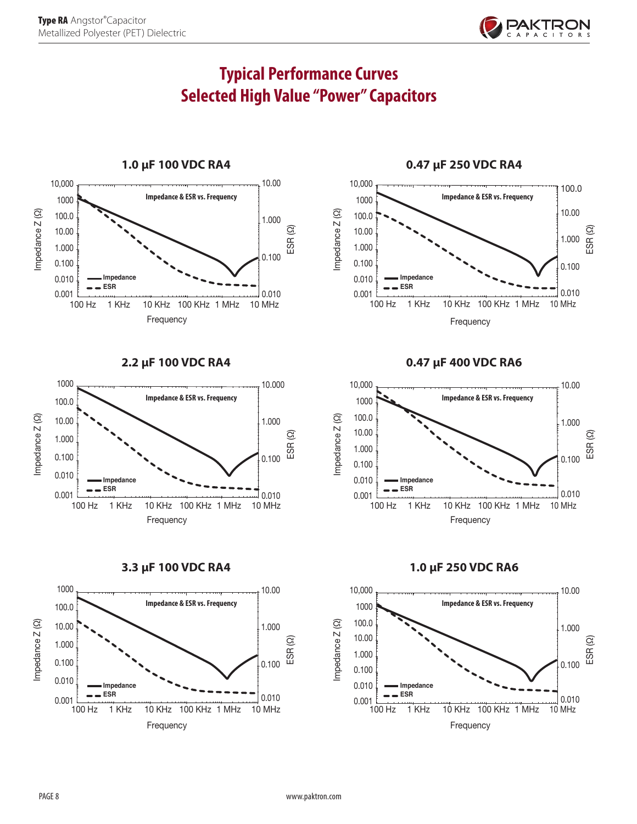

# **Typical Performance Curves Selected High Value "Power" Capacitors**